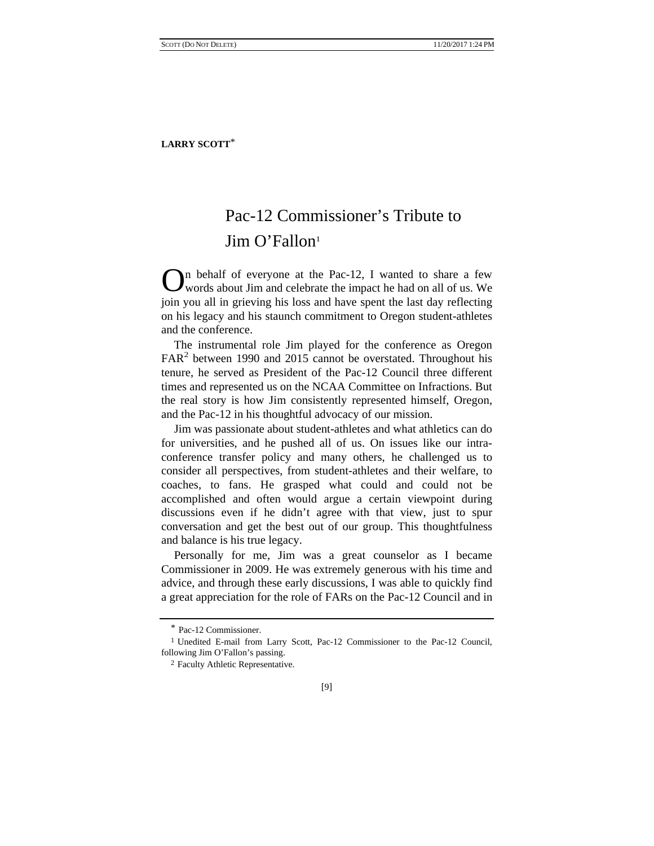## Pac-12 Commissioner's Tribute to Jim O'Fallon<sup>1</sup>

In behalf of everyone at the Pac-12, I wanted to share a few  $\mathbf{O}$ <sup>n</sup> behalf of everyone at the Pac-12, I wanted to share a few words about Jim and celebrate the impact he had on all of us. We join you all in grieving his loss and have spent the last day reflecting on his legacy and his staunch commitment to Oregon student-athletes and the conference.

The instrumental role Jim played for the conference as Oregon FAR<sup>2</sup> between 1990 and 2015 cannot be overstated. Throughout his tenure, he served as President of the Pac-12 Council three different times and represented us on the NCAA Committee on Infractions. But the real story is how Jim consistently represented himself, Oregon, and the Pac-12 in his thoughtful advocacy of our mission.

Jim was passionate about student-athletes and what athletics can do for universities, and he pushed all of us. On issues like our intraconference transfer policy and many others, he challenged us to consider all perspectives, from student-athletes and their welfare, to coaches, to fans. He grasped what could and could not be accomplished and often would argue a certain viewpoint during discussions even if he didn't agree with that view, just to spur conversation and get the best out of our group. This thoughtfulness and balance is his true legacy.

Personally for me, Jim was a great counselor as I became Commissioner in 2009. He was extremely generous with his time and advice, and through these early discussions, I was able to quickly find a great appreciation for the role of FARs on the Pac-12 Council and in

<sup>\*</sup> Pac-12 Commissioner.

<sup>&</sup>lt;sup>1</sup> Unedited E-mail from Larry Scott, Pac-12 Commissioner to the Pac-12 Council, following Jim O'Fallon's passing.

<sup>2</sup> Faculty Athletic Representative.

<sup>[9]</sup>